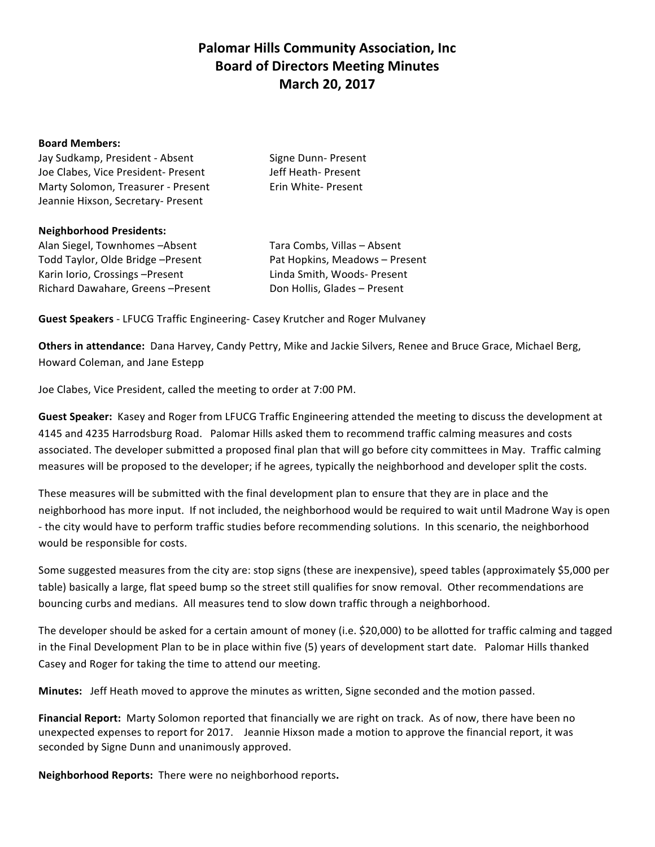## **Palomar Hills Community Association, Inc. Board of Directors Meeting Minutes March 20, 2017**

## **Board Members:**

Jay Sudkamp, President - Absent Signe Dunn- Present Joe Clabes, Vice President- Present Jeff Heath- Present Marty Solomon, Treasurer - Present Erin White- Present Jeannie Hixson, Secretary- Present

## **Neighborhood Presidents:**

Alan Siegel, Townhomes -Absent Tara Combs, Villas - Absent Todd Taylor, Olde Bridge –Present **The Containery Pat Hopkins, Meadows** – Present Karin Iorio, Crossings –Present Linda Smith, Woods-Present Richard Dawahare, Greens - Present Don Hollis, Glades - Present

**Guest Speakers** - LFUCG Traffic Engineering- Casey Krutcher and Roger Mulvaney

**Others in attendance:** Dana Harvey, Candy Pettry, Mike and Jackie Silvers, Renee and Bruce Grace, Michael Berg, Howard Coleman, and Jane Estepp

Joe Clabes, Vice President, called the meeting to order at 7:00 PM.

Guest Speaker: Kasey and Roger from LFUCG Traffic Engineering attended the meeting to discuss the development at 4145 and 4235 Harrodsburg Road. Palomar Hills asked them to recommend traffic calming measures and costs associated. The developer submitted a proposed final plan that will go before city committees in May. Traffic calming measures will be proposed to the developer; if he agrees, typically the neighborhood and developer split the costs.

These measures will be submitted with the final development plan to ensure that they are in place and the neighborhood has more input. If not included, the neighborhood would be required to wait until Madrone Way is open - the city would have to perform traffic studies before recommending solutions. In this scenario, the neighborhood would be responsible for costs.

Some suggested measures from the city are: stop signs (these are inexpensive), speed tables (approximately \$5,000 per table) basically a large, flat speed bump so the street still qualifies for snow removal. Other recommendations are bouncing curbs and medians. All measures tend to slow down traffic through a neighborhood.

The developer should be asked for a certain amount of money (i.e. \$20,000) to be allotted for traffic calming and tagged in the Final Development Plan to be in place within five (5) years of development start date. Palomar Hills thanked Casey and Roger for taking the time to attend our meeting.

**Minutes:** Jeff Heath moved to approve the minutes as written, Signe seconded and the motion passed.

Financial Report: Marty Solomon reported that financially we are right on track. As of now, there have been no unexpected expenses to report for 2017. Jeannie Hixson made a motion to approve the financial report, it was seconded by Signe Dunn and unanimously approved.

Neighborhood Reports: There were no neighborhood reports.